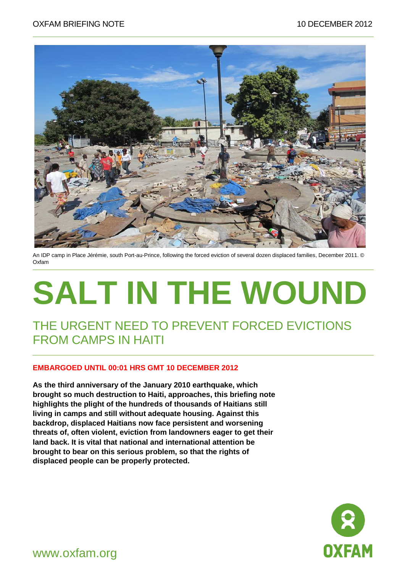

An IDP camp in Place Jérémie, south Port-au-Prince, following the forced eviction of several dozen displaced families, December 2011. © Oxfam

# **SALT IN THE WOUND**

#### THE URGENT NEED TO PREVENT FORCED EVICTIONS FROM CAMPS IN HAITI

#### **EMBARGOED UNTIL 00:01 HRS GMT 10 DECEMBER 2012**

**As the third anniversary of the January 2010 earthquake, which brought so much destruction to Haiti, approaches, this briefing note highlights the plight of the hundreds of thousands of Haitians still living in camps and still without adequate housing. Against this backdrop, displaced Haitians now face persistent and worsening threats of, often violent, eviction from landowners eager to get their land back. It is vital that national and international attention be brought to bear on this serious problem, so that the rights of displaced people can be properly protected.**



www.oxfam.org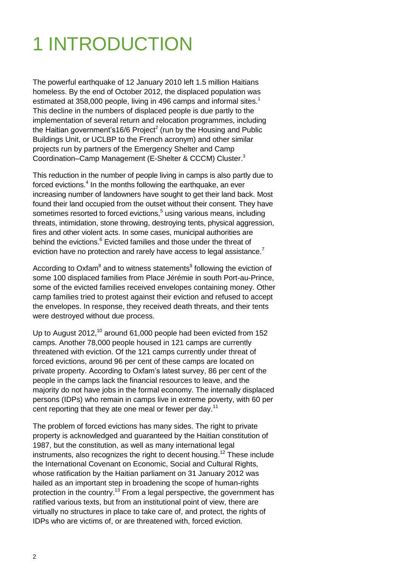# 1 INTRODUCTION

The powerful earthquake of 12 January 2010 left 1.5 million Haitians homeless. By the end of October 2012, the displaced population was estimated at 358,000 people, living in 496 camps and informal sites.<sup>1</sup> This decline in the numbers of displaced people is due partly to the implementation of several return and relocation programmes, including the Haitian government's16/6 Project<sup>2</sup> (run by the Housing and Public Buildings Unit, or UCLBP to the French acronym) and other similar projects run by partners of the Emergency Shelter and Camp Coordination–Camp Management (E-Shelter & CCCM) Cluster. 3

This reduction in the number of people living in camps is also partly due to forced evictions.<sup>4</sup> In the months following the earthquake, an ever increasing number of landowners have sought to get their land back. Most found their land occupied from the outset without their consent. They have sometimes resorted to forced evictions,<sup>5</sup> using various means, including threats, intimidation, stone throwing, destroying tents, physical aggression, fires and other violent acts. In some cases, municipal authorities are behind the evictions.<sup>6</sup> Evicted families and those under the threat of eviction have no protection and rarely have access to legal assistance.<sup>7</sup>

According to Oxfam<sup>8</sup> and to witness statements<sup>9</sup> following the eviction of some 100 displaced families from Place Jérémie in south Port-au-Prince, some of the evicted families received envelopes containing money. Other camp families tried to protest against their eviction and refused to accept the envelopes. In response, they received death threats, and their tents were destroyed without due process.

Up to August 2012,<sup>10</sup> around 61,000 people had been evicted from 152 camps. Another 78,000 people housed in 121 camps are currently threatened with eviction. Of the 121 camps currently under threat of forced evictions, around 96 per cent of these camps are located on private property. According to Oxfam's latest survey, 86 per cent of the people in the camps lack the financial resources to leave, and the majority do not have jobs in the formal economy. The internally displaced persons (IDPs) who remain in camps live in extreme poverty, with 60 per cent reporting that they ate one meal or fewer per day.<sup>11</sup>

The problem of forced evictions has many sides. The right to private property is acknowledged and guaranteed by the Haitian constitution of 1987, but the constitution, as well as many international legal instruments, also recognizes the right to decent housing.<sup>12</sup> These include the International Covenant on Economic, Social and Cultural Rights, whose ratification by the Haitian parliament on 31 January 2012 was hailed as an important step in broadening the scope of human-rights protection in the country.<sup>13</sup> From a legal perspective, the government has ratified various texts, but from an institutional point of view, there are virtually no structures in place to take care of, and protect, the rights of IDPs who are victims of, or are threatened with, forced eviction.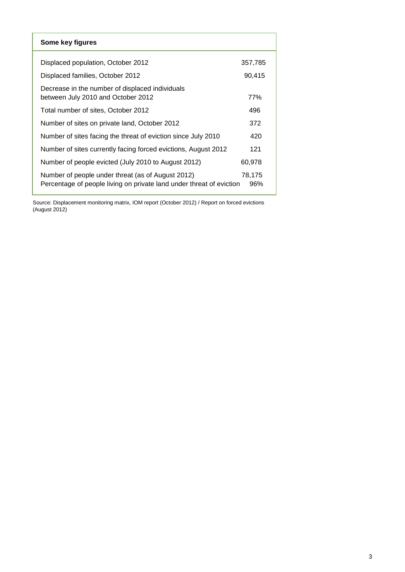| Some key figures                                                                                                          |               |
|---------------------------------------------------------------------------------------------------------------------------|---------------|
| Displaced population, October 2012                                                                                        | 357,785       |
| Displaced families, October 2012                                                                                          | 90,415        |
| Decrease in the number of displaced individuals<br>between July 2010 and October 2012                                     | 77%           |
| Total number of sites, October 2012                                                                                       | 496           |
| Number of sites on private land, October 2012                                                                             | 372           |
| Number of sites facing the threat of eviction since July 2010                                                             | 420           |
| Number of sites currently facing forced evictions, August 2012                                                            | 121           |
| Number of people evicted (July 2010 to August 2012)                                                                       | 60.978        |
| Number of people under threat (as of August 2012)<br>Percentage of people living on private land under threat of eviction | 78,175<br>96% |

Source: Displacement monitoring matrix, IOM report (October 2012) / Report on forced evictions (August 2012)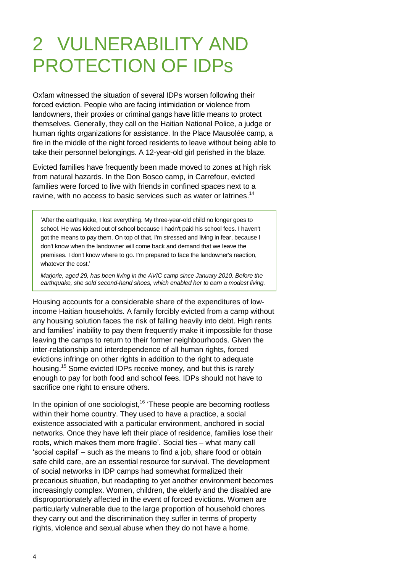# 2 VULNERABILITY AND PROTECTION OF IDPs

Oxfam witnessed the situation of several IDPs worsen following their forced eviction. People who are facing intimidation or violence from landowners, their proxies or criminal gangs have little means to protect themselves. Generally, they call on the Haitian National Police, a judge or human rights organizations for assistance. In the Place Mausolée camp, a fire in the middle of the night forced residents to leave without being able to take their personnel belongings. A 12-year-old girl perished in the blaze.

Evicted families have frequently been made moved to zones at high risk from natural hazards. In the Don Bosco camp, in Carrefour, evicted families were forced to live with friends in confined spaces next to a ravine, with no access to basic services such as water or latrines.<sup>14</sup>

'After the earthquake, I lost everything. My three-year-old child no longer goes to school. He was kicked out of school because I hadn't paid his school fees. I haven't got the means to pay them. On top of that, I'm stressed and living in fear, because I don't know when the landowner will come back and demand that we leave the premises. I don't know where to go. I'm prepared to face the landowner's reaction, whatever the cost.'

*Marjorie, aged 29, has been living in the AVIC camp since January 2010. Before the earthquake, she sold second-hand shoes, which enabled her to earn a modest living.*

Housing accounts for a considerable share of the expenditures of lowincome Haitian households. A family forcibly evicted from a camp without any housing solution faces the risk of falling heavily into debt. High rents and families' inability to pay them frequently make it impossible for those leaving the camps to return to their former neighbourhoods. Given the inter-relationship and interdependence of all human rights, forced evictions infringe on other rights in addition to the right to adequate housing.<sup>15</sup> Some evicted IDPs receive money, and but this is rarely enough to pay for both food and school fees. IDPs should not have to sacrifice one right to ensure others.

In the opinion of one sociologist,<sup>16</sup> 'These people are becoming rootless within their home country. They used to have a practice, a social existence associated with a particular environment, anchored in social networks. Once they have left their place of residence, families lose their roots, which makes them more fragile'. Social ties – what many call 'social capital' – such as the means to find a job, share food or obtain safe child care, are an essential resource for survival. The development of social networks in IDP camps had somewhat formalized their precarious situation, but readapting to yet another environment becomes increasingly complex. Women, children, the elderly and the disabled are disproportionately affected in the event of forced evictions. Women are particularly vulnerable due to the large proportion of household chores they carry out and the discrimination they suffer in terms of property rights, violence and sexual abuse when they do not have a home.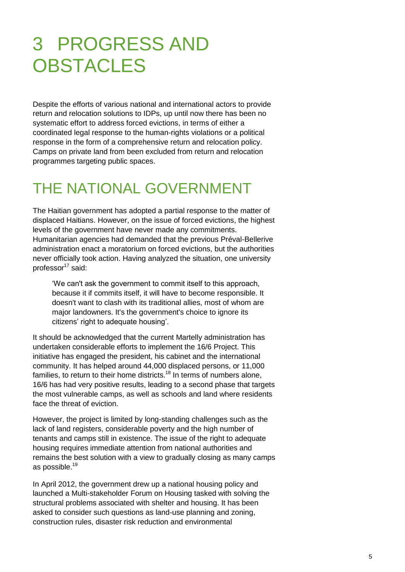# 3 PROGRESS AND **OBSTACLES**

Despite the efforts of various national and international actors to provide return and relocation solutions to IDPs, up until now there has been no systematic effort to address forced evictions, in terms of either a coordinated legal response to the human-rights violations or a political response in the form of a comprehensive return and relocation policy. Camps on private land from been excluded from return and relocation programmes targeting public spaces.

## THE NATIONAL GOVERNMENT

The Haitian government has adopted a partial response to the matter of displaced Haitians. However, on the issue of forced evictions, the highest levels of the government have never made any commitments. Humanitarian agencies had demanded that the previous Préval-Bellerive administration enact a moratorium on forced evictions, but the authorities never officially took action. Having analyzed the situation, one university professor $17$  said:

'We can't ask the government to commit itself to this approach, because it if commits itself, it will have to become responsible. It doesn't want to clash with its traditional allies, most of whom are major landowners. It's the government's choice to ignore its citizens' right to adequate housing'.

It should be acknowledged that the current Martelly administration has undertaken considerable efforts to implement the 16/6 Project. This initiative has engaged the president, his cabinet and the international community. It has helped around 44,000 displaced persons, or 11,000 families, to return to their home districts.<sup>18</sup> In terms of numbers alone, 16/6 has had very positive results, leading to a second phase that targets the most vulnerable camps, as well as schools and land where residents face the threat of eviction.

However, the project is limited by long-standing challenges such as the lack of land registers, considerable poverty and the high number of tenants and camps still in existence. The issue of the right to adequate housing requires immediate attention from national authorities and remains the best solution with a view to gradually closing as many camps as possible.<sup>19</sup>

In April 2012, the government drew up a national housing policy and launched a Multi-stakeholder Forum on Housing tasked with solving the structural problems associated with shelter and housing. It has been asked to consider such questions as land-use planning and zoning, construction rules, disaster risk reduction and environmental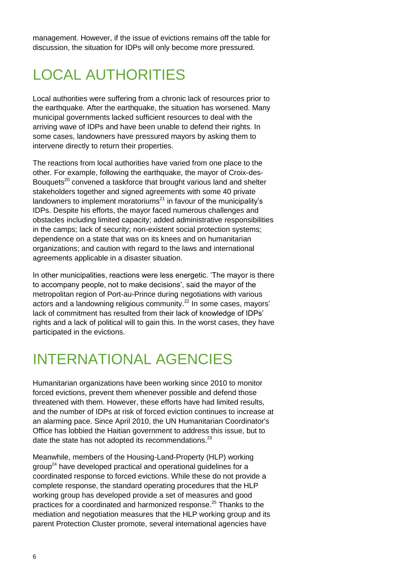management. However, if the issue of evictions remains off the table for discussion, the situation for IDPs will only become more pressured.

## LOCAL AUTHORITIES

Local authorities were suffering from a chronic lack of resources prior to the earthquake. After the earthquake, the situation has worsened. Many municipal governments lacked sufficient resources to deal with the arriving wave of IDPs and have been unable to defend their rights. In some cases, landowners have pressured mayors by asking them to intervene directly to return their properties.

The reactions from local authorities have varied from one place to the other. For example, following the earthquake, the mayor of Croix-des-Bouquets<sup>20</sup> convened a taskforce that brought various land and shelter stakeholders together and signed agreements with some 40 private landowners to implement moratoriums<sup>21</sup> in favour of the municipality's IDPs. Despite his efforts, the mayor faced numerous challenges and obstacles including limited capacity; added administrative responsibilities in the camps; lack of security; non-existent social protection systems; dependence on a state that was on its knees and on humanitarian organizations; and caution with regard to the laws and international agreements applicable in a disaster situation.

In other municipalities, reactions were less energetic. 'The mayor is there to accompany people, not to make decisions', said the mayor of the metropolitan region of Port-au-Prince during negotiations with various actors and a landowning religious community.<sup>22</sup> In some cases, mayors' lack of commitment has resulted from their lack of knowledge of IDPs' rights and a lack of political will to gain this. In the worst cases, they have participated in the evictions.

### INTERNATIONAL AGENCIES

Humanitarian organizations have been working since 2010 to monitor forced evictions, prevent them whenever possible and defend those threatened with them. However, these efforts have had limited results, and the number of IDPs at risk of forced eviction continues to increase at an alarming pace. Since April 2010, the UN Humanitarian Coordinator's Office has lobbied the Haitian government to address this issue, but to date the state has not adopted its recommendations.<sup>23</sup>

Meanwhile, members of the Housing-Land-Property (HLP) working group<sup>24</sup> have developed practical and operational guidelines for a coordinated response to forced evictions. While these do not provide a complete response, the standard operating procedures that the HLP working group has developed provide a set of measures and good practices for a coordinated and harmonized response.<sup>25</sup> Thanks to the mediation and negotiation measures that the HLP working group and its parent Protection Cluster promote, several international agencies have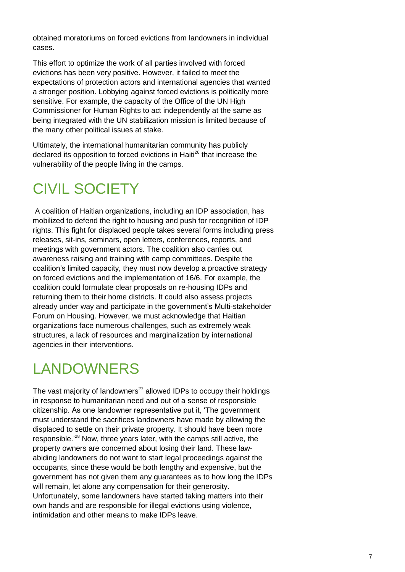obtained moratoriums on forced evictions from landowners in individual cases.

This effort to optimize the work of all parties involved with forced evictions has been very positive. However, it failed to meet the expectations of protection actors and international agencies that wanted a stronger position. Lobbying against forced evictions is politically more sensitive. For example, the capacity of the Office of the UN High Commissioner for Human Rights to act independently at the same as being integrated with the UN stabilization mission is limited because of the many other political issues at stake.

Ultimately, the international humanitarian community has publicly declared its opposition to forced evictions in Haiti<sup>26</sup> that increase the vulnerability of the people living in the camps.

## CIVIL SOCIETY

A coalition of Haitian organizations, including an IDP association, has mobilized to defend the right to housing and push for recognition of IDP rights. This fight for displaced people takes several forms including press releases, sit-ins, seminars, open letters, conferences, reports, and meetings with government actors. The coalition also carries out awareness raising and training with camp committees. Despite the coalition's limited capacity, they must now develop a proactive strategy on forced evictions and the implementation of 16/6. For example, the coalition could formulate clear proposals on re-housing IDPs and returning them to their home districts. It could also assess projects already under way and participate in the government's Multi-stakeholder Forum on Housing. However, we must acknowledge that Haitian organizations face numerous challenges, such as extremely weak structures, a lack of resources and marginalization by international agencies in their interventions.

## LANDOWNERS

The vast majority of landowners<sup>27</sup> allowed IDPs to occupy their holdings in response to humanitarian need and out of a sense of responsible citizenship. As one landowner representative put it, 'The government must understand the sacrifices landowners have made by allowing the displaced to settle on their private property. It should have been more responsible.<sup>'28</sup> Now, three years later, with the camps still active, the property owners are concerned about losing their land. These lawabiding landowners do not want to start legal proceedings against the occupants, since these would be both lengthy and expensive, but the government has not given them any guarantees as to how long the IDPs will remain, let alone any compensation for their generosity. Unfortunately, some landowners have started taking matters into their own hands and are responsible for illegal evictions using violence, intimidation and other means to make IDPs leave.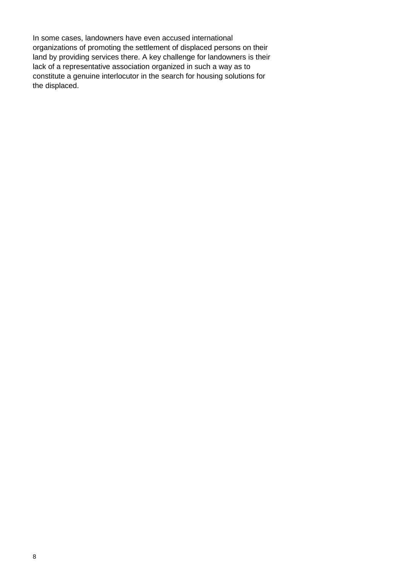In some cases, landowners have even accused international organizations of promoting the settlement of displaced persons on their land by providing services there. A key challenge for landowners is their lack of a representative association organized in such a way as to constitute a genuine interlocutor in the search for housing solutions for the displaced.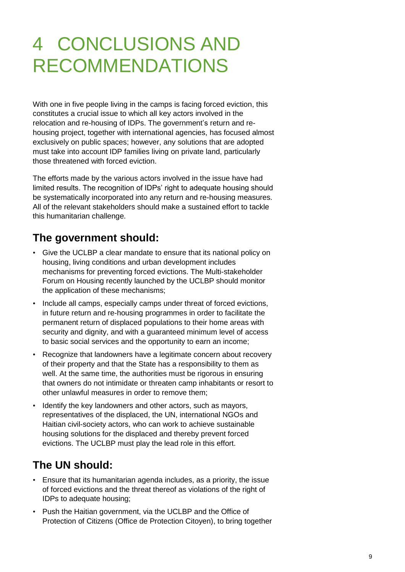# 4 CONCLUSIONS AND RECOMMENDATIONS

With one in five people living in the camps is facing forced eviction, this constitutes a crucial issue to which all key actors involved in the relocation and re-housing of IDPs. The government's return and rehousing project, together with international agencies, has focused almost exclusively on public spaces; however, any solutions that are adopted must take into account IDP families living on private land, particularly those threatened with forced eviction.

The efforts made by the various actors involved in the issue have had limited results. The recognition of IDPs' right to adequate housing should be systematically incorporated into any return and re-housing measures. All of the relevant stakeholders should make a sustained effort to tackle this humanitarian challenge.

#### **The government should:**

- Give the UCLBP a clear mandate to ensure that its national policy on housing, living conditions and urban development includes mechanisms for preventing forced evictions. The Multi-stakeholder Forum on Housing recently launched by the UCLBP should monitor the application of these mechanisms;
- Include all camps, especially camps under threat of forced evictions, in future return and re-housing programmes in order to facilitate the permanent return of displaced populations to their home areas with security and dignity, and with a guaranteed minimum level of access to basic social services and the opportunity to earn an income;
- Recognize that landowners have a legitimate concern about recovery of their property and that the State has a responsibility to them as well. At the same time, the authorities must be rigorous in ensuring that owners do not intimidate or threaten camp inhabitants or resort to other unlawful measures in order to remove them;
- Identify the key landowners and other actors, such as mayors, representatives of the displaced, the UN, international NGOs and Haitian civil-society actors, who can work to achieve sustainable housing solutions for the displaced and thereby prevent forced evictions. The UCLBP must play the lead role in this effort.

#### **The UN should:**

- Ensure that its humanitarian agenda includes, as a priority, the issue of forced evictions and the threat thereof as violations of the right of IDPs to adequate housing;
- Push the Haitian government, via the UCLBP and the Office of Protection of Citizens (Office de Protection Citoyen), to bring together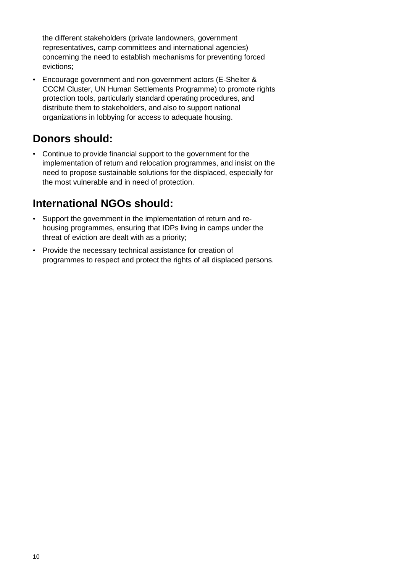the different stakeholders (private landowners, government representatives, camp committees and international agencies) concerning the need to establish mechanisms for preventing forced evictions;

• Encourage government and non-government actors (E-Shelter & CCCM Cluster, UN Human Settlements Programme) to promote rights protection tools, particularly standard operating procedures, and distribute them to stakeholders, and also to support national organizations in lobbying for access to adequate housing.

#### **Donors should:**

• Continue to provide financial support to the government for the implementation of return and relocation programmes, and insist on the need to propose sustainable solutions for the displaced, especially for the most vulnerable and in need of protection.

#### **International NGOs should:**

- Support the government in the implementation of return and rehousing programmes, ensuring that IDPs living in camps under the threat of eviction are dealt with as a priority;
- Provide the necessary technical assistance for creation of programmes to respect and protect the rights of all displaced persons.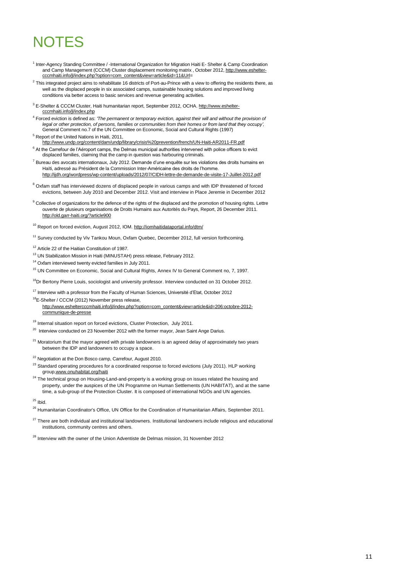## NOTES

- <sup>1</sup> Inter-Agency Standing Committee / -International Organization for Migration Haiti E- Shelter & Camp Coordination and Camp Management (CCCM) Cluster displacement monitoring matrix , October 2012[, http://www.eshelter](http://www.eshelter-cccmhaiti.info/jl/index.php?option=com_content&view=article&id=11&Url)[cccmhaiti.info/jl/index.php?option=com\\_content&view=article&id=11&Url=](http://www.eshelter-cccmhaiti.info/jl/index.php?option=com_content&view=article&id=11&Url)
- $^2$  This integrated project aims to rehabilitate 16 districts of Port-au-Prince with a view to offering the residents there, as well as the displaced people in six associated camps, sustainable housing solutions and improved living conditions via better access to basic services and revenue generating activities.
- <sup>3</sup> E-Shelter & CCCM Cluster, Haiti humanitarian report, September 2012, OCHA. [http://www.eshelter](http://www.eshelter-cccmhaiti.info/jl/index.php)[cccmhaiti.info/jl/index.php](http://www.eshelter-cccmhaiti.info/jl/index.php)
- 4 Forced eviction is defined as: *'The permanent or temporary eviction, against their will and without the provision of legal or other protection, of persons, families or communities from their homes or from land that they occupy',* General Comment no.7 of the UN Committee on Economic, Social and Cultural Rights (1997) <sup>5</sup> Report of the United Nations in Haiti, 2011,
- <http://www.undp.org/content/dam/undp/library/crisis%20prevention/french/UN-Haiti-AR2011-FR.pdf>  $6$  At the Carrefour de l'Aéroport camps, the Delmas municipal authorities intervened with police officers to evict displaced families, claiming that the camp in question was harbouring criminals.
- $7$  Bureau des avocats internationaux, July 2012. Demande d'une enquête sur les violations des droits humains en Haïti, adressé au Président de la Commission Inter-Américaine des droits de l'homme. <http://ijdh.org/wordpress/wp-content/uploads/2012/07/CIDH-lettre-de-demande-de-visite-17-Juillet-2012.pdf>
- <sup>8</sup> Oxfam staff has interviewed dozens of displaced people in various camps and with IDP threatened of forced
- evictions, between July 2010 and December 2012. Visit and interview in Place Jeremie in December 2012
- <sup>9</sup> Collective of organizations for the defence of the rights of the displaced and the promotion of housing rights. Lettre ouverte de plusieurs organisations de Droits Humains aux Autorités du Pays, Report, 26 December 2011. <http://old.garr-haiti.org/?article900>

<sup>10</sup> Report on forced eviction, August 2012, IOM. <http://iomhaitidataportal.info/dtm/>

- <sup>11</sup> Survey conducted by Viv Tankou Moun, Oxfam Quebec, December 2012, full version forthcoming.
- <sup>12</sup> Article 22 of the Haitian Constitution of 1987.
- <sup>13</sup> UN Stabilization Mission in Haiti (MINUSTAH) press release, February 2012.
- <sup>14</sup> Oxfam interviewed twenty evicted families in July 2011.
- <sup>15</sup> UN Committee on Economic, Social and Cultural Rights, Annex IV to General Comment no, 7, 1997.
- <sup>16</sup>Dr Bertony Pierre Louis, sociologist and university professor. Interview conducted on 31 October 2012.
- <sup>17</sup> Interview with a professor from the Faculty of Human Sciences, Université d'Etat, October 2012
- <sup>18</sup>E-Shelter / CCCM (2012) November press release, [http://www.esheltercccmhaiti.info/jl/index.php?option=com\\_content&view=article&id=206:octobre-2012](http://www.esheltercccmhaiti.info/jl/index.php?option=com_content&view=article&id=206:octobre-2012-communique-de-presse) [communique-de-presse](http://www.esheltercccmhaiti.info/jl/index.php?option=com_content&view=article&id=206:octobre-2012-communique-de-presse)
- <sup>19</sup> Internal situation report on forced evictions, Cluster Protection, July 2011.
- <sup>20</sup> Interview conducted on 23 November 2012 with the former mayor, Jean Saint Ange Darius.
- <sup>21</sup> Moratorium that the mayor agreed with private landowners is an agreed delay of approximately two years between the IDP and landowners to occupy a space.
- <sup>22</sup> Negotiation at the Don Bosco camp, Carrefour, August 2010.
- <sup>23</sup> Standard operating procedures for a coordinated response to forced evictions (July 2011). HLP working grou[p,www.onuhabitat.org/haiti](http://www.onuhabitat.org/haiti)
- <sup>24</sup> The technical group on Housing-Land-and-property is a working group on issues related the housing and property, under the auspices of the UN Programme on Human Settlements (UN HABITAT), and at the same time, a sub-group of the Protection Cluster. It is composed of international NGOs and UN agencies.
- $25$  Ibid.

<sup>26</sup> Humanitarian Coordinator's Office, UN Office for the Coordination of Humanitarian Affairs, September 2011.

- $27$  There are both individual and institutional landowners. Institutional landowners include religious and educational institutions, community centres and others.
- <sup>28</sup> Interview with the owner of the Union Adventiste de Delmas mission, 31 November 2012